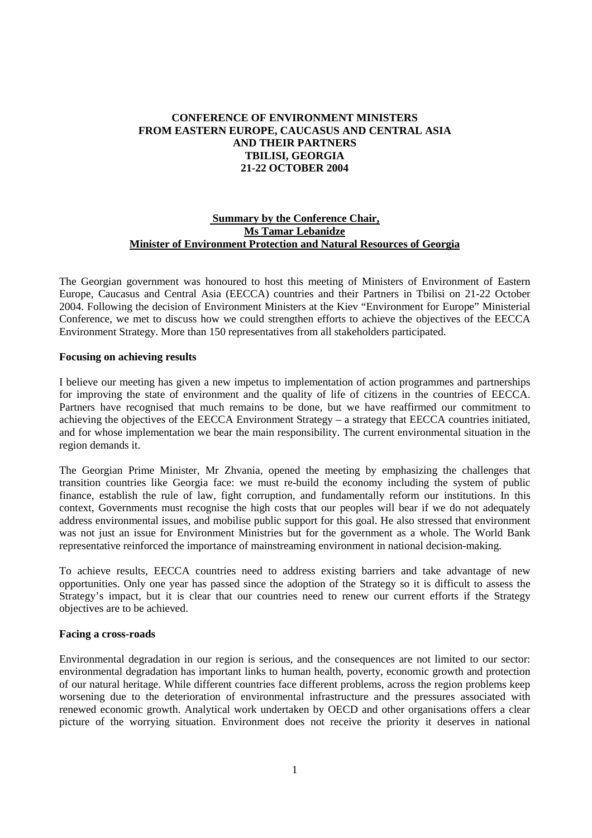# **CONFERENCE OF ENVIRONMENT MINISTERS FROM EASTERN EUROPE, CAUCASUS AND CENTRAL ASIA AND THEIR PARTNERS TBILISI, GEORGIA 21-22 OCTOBER 2004**

# **Summary by the Conference Chair, Ms Tamar Lebanidze Minister of Environment Protection and Natural Resources of Georgia**

The Georgian government was honoured to host this meeting of Ministers of Environment of Eastern Europe, Caucasus and Central Asia (EECCA) countries and their Partners in Tbilisi on 21-22 October 2004. Following the decision of Environment Ministers at the Kiev "Environment for Europe" Ministerial Conference, we met to discuss how we could strengthen efforts to achieve the objectives of the EECCA Environment Strategy. More than 150 representatives from all stakeholders participated.

### **Focusing on achieving results**

I believe our meeting has given a new impetus to implementation of action programmes and partnerships for improving the state of environment and the quality of life of citizens in the countries of EECCA. Partners have recognised that much remains to be done, but we have reaffirmed our commitment to achieving the objectives of the EECCA Environment Strategy – a strategy that EECCA countries initiated, and for whose implementation we bear the main responsibility. The current environmental situation in the region demands it.

The Georgian Prime Minister, Mr Zhvania, opened the meeting by emphasizing the challenges that transition countries like Georgia face: we must re-build the economy including the system of public finance, establish the rule of law, fight corruption, and fundamentally reform our institutions. In this context, Governments must recognise the high costs that our peoples will bear if we do not adequately address environmental issues, and mobilise public support for this goal. He also stressed that environment was not just an issue for Environment Ministries but for the government as a whole. The World Bank representative reinforced the importance of mainstreaming environment in national decision-making.

To achieve results, EECCA countries need to address existing barriers and take advantage of new opportunities. Only one year has passed since the adoption of the Strategy so it is difficult to assess the Strategy's impact, but it is clear that our countries need to renew our current efforts if the Strategy objectives are to be achieved.

#### **Facing a cross-roads**

Environmental degradation in our region is serious, and the consequences are not limited to our sector: environmental degradation has important links to human health, poverty, economic growth and protection of our natural heritage. While different countries face different problems, across the region problems keep worsening due to the deterioration of environmental infrastructure and the pressures associated with renewed economic growth. Analytical work undertaken by OECD and other organisations offers a clear picture of the worrying situation. Environment does not receive the priority it deserves in national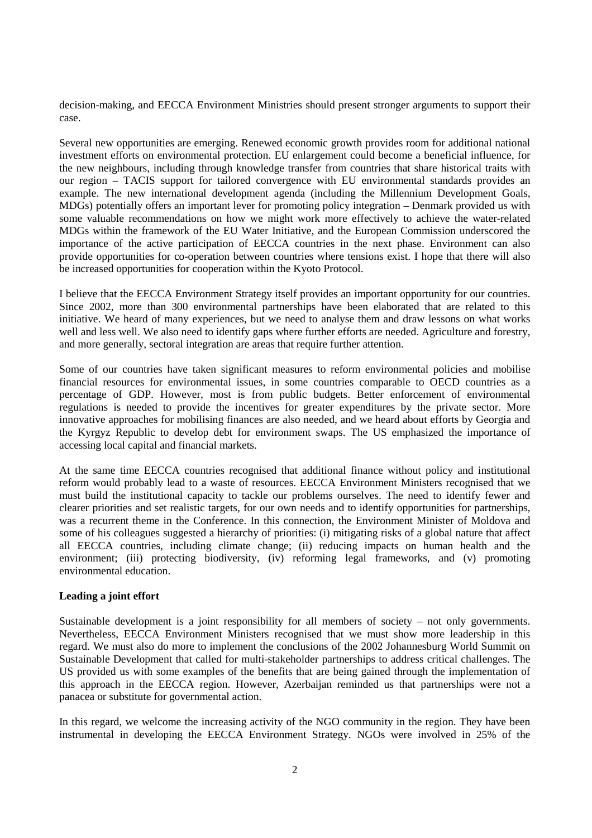decision-making, and EECCA Environment Ministries should present stronger arguments to support their case.

Several new opportunities are emerging. Renewed economic growth provides room for additional national investment efforts on environmental protection. EU enlargement could become a beneficial influence, for the new neighbours, including through knowledge transfer from countries that share historical traits with our region – TACIS support for tailored convergence with EU environmental standards provides an example. The new international development agenda (including the Millennium Development Goals, MDGs) potentially offers an important lever for promoting policy integration – Denmark provided us with some valuable recommendations on how we might work more effectively to achieve the water-related MDGs within the framework of the EU Water Initiative, and the European Commission underscored the importance of the active participation of EECCA countries in the next phase. Environment can also provide opportunities for co-operation between countries where tensions exist. I hope that there will also be increased opportunities for cooperation within the Kyoto Protocol.

I believe that the EECCA Environment Strategy itself provides an important opportunity for our countries. Since 2002, more than 300 environmental partnerships have been elaborated that are related to this initiative. We heard of many experiences, but we need to analyse them and draw lessons on what works well and less well. We also need to identify gaps where further efforts are needed. Agriculture and forestry, and more generally, sectoral integration are areas that require further attention.

Some of our countries have taken significant measures to reform environmental policies and mobilise financial resources for environmental issues, in some countries comparable to OECD countries as a percentage of GDP. However, most is from public budgets. Better enforcement of environmental regulations is needed to provide the incentives for greater expenditures by the private sector. More innovative approaches for mobilising finances are also needed, and we heard about efforts by Georgia and the Kyrgyz Republic to develop debt for environment swaps. The US emphasized the importance of accessing local capital and financial markets.

At the same time EECCA countries recognised that additional finance without policy and institutional reform would probably lead to a waste of resources. EECCA Environment Ministers recognised that we must build the institutional capacity to tackle our problems ourselves. The need to identify fewer and clearer priorities and set realistic targets, for our own needs and to identify opportunities for partnerships, was a recurrent theme in the Conference. In this connection, the Environment Minister of Moldova and some of his colleagues suggested a hierarchy of priorities: (i) mitigating risks of a global nature that affect all EECCA countries, including climate change; (ii) reducing impacts on human health and the environment; (iii) protecting biodiversity, (iv) reforming legal frameworks, and (v) promoting environmental education.

#### **Leading a joint effort**

Sustainable development is a joint responsibility for all members of society – not only governments. Nevertheless, EECCA Environment Ministers recognised that we must show more leadership in this regard. We must also do more to implement the conclusions of the 2002 Johannesburg World Summit on Sustainable Development that called for multi-stakeholder partnerships to address critical challenges. The US provided us with some examples of the benefits that are being gained through the implementation of this approach in the EECCA region. However, Azerbaijan reminded us that partnerships were not a panacea or substitute for governmental action.

In this regard, we welcome the increasing activity of the NGO community in the region. They have been instrumental in developing the EECCA Environment Strategy. NGOs were involved in 25% of the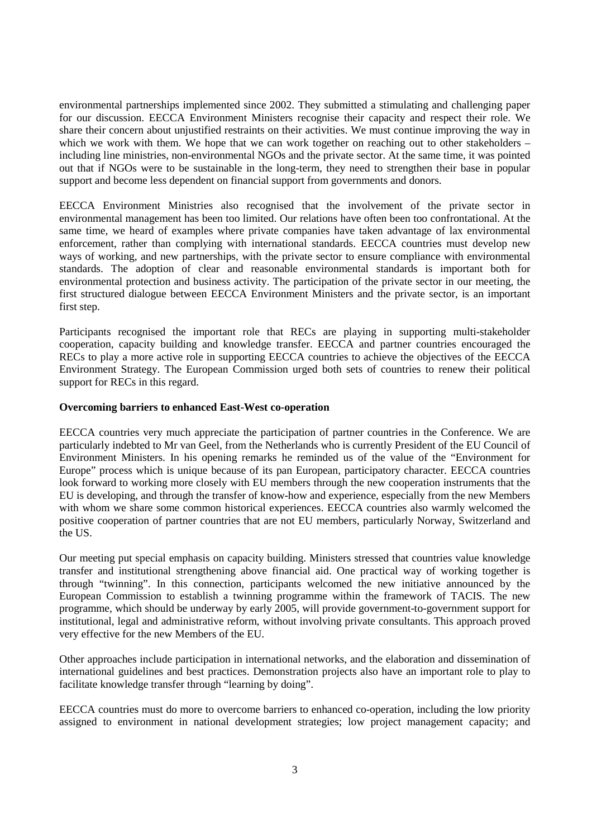environmental partnerships implemented since 2002. They submitted a stimulating and challenging paper for our discussion. EECCA Environment Ministers recognise their capacity and respect their role. We share their concern about unjustified restraints on their activities. We must continue improving the way in which we work with them. We hope that we can work together on reaching out to other stakeholders – including line ministries, non-environmental NGOs and the private sector. At the same time, it was pointed out that if NGOs were to be sustainable in the long-term, they need to strengthen their base in popular support and become less dependent on financial support from governments and donors.

EECCA Environment Ministries also recognised that the involvement of the private sector in environmental management has been too limited. Our relations have often been too confrontational. At the same time, we heard of examples where private companies have taken advantage of lax environmental enforcement, rather than complying with international standards. EECCA countries must develop new ways of working, and new partnerships, with the private sector to ensure compliance with environmental standards. The adoption of clear and reasonable environmental standards is important both for environmental protection and business activity. The participation of the private sector in our meeting, the first structured dialogue between EECCA Environment Ministers and the private sector, is an important first step.

Participants recognised the important role that RECs are playing in supporting multi-stakeholder cooperation, capacity building and knowledge transfer. EECCA and partner countries encouraged the RECs to play a more active role in supporting EECCA countries to achieve the objectives of the EECCA Environment Strategy. The European Commission urged both sets of countries to renew their political support for RECs in this regard.

#### **Overcoming barriers to enhanced East-West co-operation**

EECCA countries very much appreciate the participation of partner countries in the Conference. We are particularly indebted to Mr van Geel, from the Netherlands who is currently President of the EU Council of Environment Ministers. In his opening remarks he reminded us of the value of the "Environment for Europe" process which is unique because of its pan European, participatory character. EECCA countries look forward to working more closely with EU members through the new cooperation instruments that the EU is developing, and through the transfer of know-how and experience, especially from the new Members with whom we share some common historical experiences. EECCA countries also warmly welcomed the positive cooperation of partner countries that are not EU members, particularly Norway, Switzerland and the US.

Our meeting put special emphasis on capacity building. Ministers stressed that countries value knowledge transfer and institutional strengthening above financial aid. One practical way of working together is through "twinning". In this connection, participants welcomed the new initiative announced by the European Commission to establish a twinning programme within the framework of TACIS. The new programme, which should be underway by early 2005, will provide government-to-government support for institutional, legal and administrative reform, without involving private consultants. This approach proved very effective for the new Members of the EU.

Other approaches include participation in international networks, and the elaboration and dissemination of international guidelines and best practices. Demonstration projects also have an important role to play to facilitate knowledge transfer through "learning by doing".

EECCA countries must do more to overcome barriers to enhanced co-operation, including the low priority assigned to environment in national development strategies; low project management capacity; and